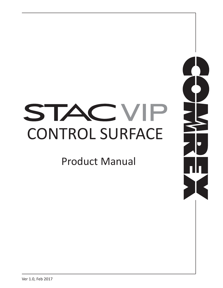# STAC V P CONTROL SURFACE

Product Manual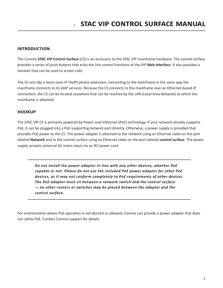## **Introduction**

The Comrex **STAC VIP Control Surface** (CS) is an accessory to the STAC VIP mainframe hardware. The control surface provides a series of push-buttons that echo the line control functions of the VIP **Web Interface**. It also provides a handset that can be used to screen calls.

The CS acts like a Voice-over-IP (VoIP) phone extension, connecting to the mainframe in the same way the mainframe connects to its VoIP services. Because the CS connects to the mainframe over an Ethernet-based IP connection, the CS can be located anywhere that can be reached by the LAN (Local Area Network) to which the mainframe is attached.

## **Hookup**

The STAC VIP CS is primarily powered by Power-over-Ethernet (PoE) technology. If your network already supports PoE, it can be plugged into a PoE-supporting network port directly. Otherwise, a power supply is provided that provides PoE power to the CS. The power adapter is attached to the network using an Ethernet cable on the port labeled **Network** and to the control surface using an Ethernet cable on the port labeled **control surface**. The power supply accepts universal AC mains input via an IEC power cord.

*Do not install the power adapter in-line with any other devices, whether PoE capable or not. Please do not use the included PoE power adapter for other PoE devices, as it may not conform completely to PoE requirements of other devices. The PoE adapter must sit between a network switch and the control surface — no other routers or switches may be placed between the adapter and the control surface.*

For environments where PoE operation is not desired or allowed, Comrex can provide a power adapter that does not utilize PoE. Contact Comrex support for details.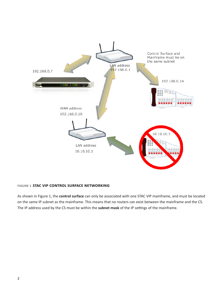

#### **Figure 1 STAC VIP control surface networking**

As shown in Figure 1, the **control surface** can only be associated with one STAC VIP mainframe, and must be located on the same IP subnet as the mainframe. This means that no routers can exist between the mainframe and the CS. The IP address used by the CS must be within the **subnet mask** of the IP settings of the mainframe.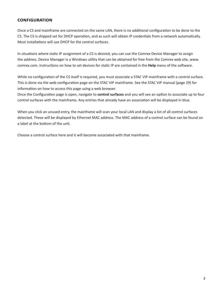# **Configuration**

Once a CS and mainframe are connected on the same LAN, there is no additional configuration to be done to the CS. The CS is shipped set for DHCP operation, and as such will obtain IP credentials from a network automatically. Most installations will use DHCP for the control surfaces.

In situations where static IP assignment of a CS is desired, you can use the Comrex Device Manager to assign the address. Device Manager is a Windows utility that can be obtained for free from the Comrex web site, www. comrex.com. Instructions on how to set devices for static IP are contained in the **Help** menu of the software.

While no configuration of the CS itself is required, you must associate a STAC VIP mainframe with a control surface. This is done via the web configuration page on the STAC VIP mainframe. See the STAC VIP manual (page 29) for information on how to access this page using a web browser.

Once the Configuration page is open, navigate to **control surfaces** and you will see an option to associate up to four control surfaces with the mainframe. Any entries that already have an association will be displayed in blue.

When you click an unused entry, the mainframe will scan your local LAN and display a list of all control surfaces detected. These will be displayed by Ethernet MAC address. The MAC address of a control surface can be found on a label at the bottom of the unit.

Choose a control surface here and it will become associated with that mainframe.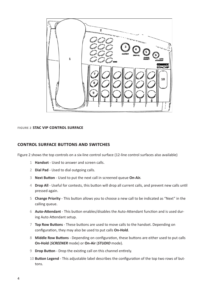

#### **Figure 2 stac vip control surface**

## **control surface Buttons and switches**

Figure 2 shows the top controls on a six-line control surface (12-line control surfaces also available)

- **Handset** Used to answer and screen calls.
- **Dial Pad** Used to dial outgoing calls.
- **Next Button** Used to put the next call in screened queue **On-Air.**
- **Drop All** Useful for contests, this button will drop all current calls, and prevent new calls until pressed again.
- **Change Priority** This button allows you to choose a new call to be indicated as "Next" in the calling queue.
- **Auto-Attendant** This button enables/disables the Auto-Attendant function and is used during Auto Attendant setup.
- **Top Row Buttons** These buttons are used to move calls to the handset. Depending on configuration, they may also be used to put calls **On-Hold**.
- **Middle Row Buttons** Depending on configuration, these buttons are either used to put calls **On-Hold** (*SCREENER* mode) or **On-Air** (*STUDIO* mode).
- **Drop Button** Drop the existing call on this channel entirely.
- **Button Legend** This adjustable label describes the configuration of the top two rows of buttons.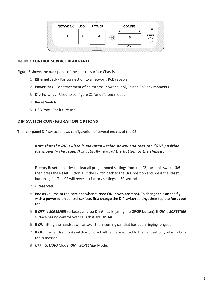

#### **Figure 3 control surface REAR PANEL**

Figure 3 shows the back panel of the control surface Chassis

- 1 **Ethernet Jack** For connection to a network. PoE capable
- 2 **Power Jack** For attachment of an external power supply in non PoE environments
- 3 **Dip Switches** Used to configure CS for different modes
- 4 **Reset Switch**
- 5 **USB Port** For future use

## **DIP Switch configuration options**

The rear panel DIP switch allows configuration of several modes of the CS.

*Note that the DIP switch is mounted upside-down, and that the "ON" position (as shown in the legend) is actually toward the bottom of the chassis.*

- 1 **Factory Reset** In order to clear all programmed settings from the CS, turn this switch *ON* then press the **Reset** Button. Put the switch back to the *OFF* position and press the **Reset** button again. The CS will revert to factory settings in 30 seconds.
- 2, 3 **Reserved**
- 4 Boosts volume to the earpiece when turned **ON** (down position). To change this on the fly with a powered-on control surface, first change the DIP switch setting, then tap the **Reset** button.
- 5 If *OFF*, a *SCREENER* surface can drop **On-Air** calls (using the **DROP** button). If *ON*, a *SCREENER* surface has no control over calls that are **On-Air**.
- 6 If *ON*, lifting the handset will answer the incoming call that has been ringing longest.
- 7 If *ON*, the handset hookswitch is ignored. All calls are routed to the handset only when a button is pressed.
- 8 *OFF* = *STUDIO* Mode; *ON* = *SCREENER* Mode.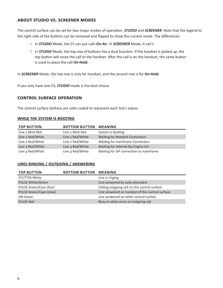# **About STUDIO vs. SCREENER Modes**

The control surface can be set for two major modes of operation: *STUDIO* and *SCREENER*. Note that the legend to the right side of the buttons can be removed and flipped to show the current mode. The differences:

- 1 In *STUDIO* Mode, the CS can put calls **On-Air**. In *SCREENER* Mode, it can't.
- 2 In *STUDIO* Mode, the top row of buttons has a dual function. If the handset is picked up, the top button will route the call to the handset. After the call is on the handset, the same button is used to place the call **On-Hold**.

In *SCREENER* Mode, the top row is only for handset, and the second row is for **On-Hold**.

If you only have one CS, *STUDIO* mode is the best choice.

## **control surface Operation**

The control surface buttons are color coded to represent each line's status:

#### **While the system is booting**

| <b>TOP BUTTON</b> | <b>BOTTOM BUTTON MEANING</b> |                                         |
|-------------------|------------------------------|-----------------------------------------|
| Line 1 Blink Red  | Line 1 Blink Red             | System is booting                       |
| Line 1 Red/White  | Line 1 Red/White             | Waiting for Network Connection          |
| Line 2 Red/White  | Line 2 Red/White             | Waiting for mainframe Connection        |
| Line 3 Red/White  | Line 3 Red/White             | Waiting for Internal Sip Engine init    |
| Line 4 Red/White  | Line 4 Red/White             | Waiting for SIP connection to mainframe |

#### **Lines Ringing / Outgoing / Answering**

| <b>TOP BUTTON</b>        | <b>BOTTOM BUTTON MEANING</b> |                                                  |
|--------------------------|------------------------------|--------------------------------------------------|
| <b>STUTTER White</b>     |                              | Line is ringing                                  |
| <b>PULSE White/Green</b> |                              | Line answered by auto-attendant                  |
| PULSE Green/Cyan (fast)  |                              | Dialing outgoing call on this control surface    |
| PULSE Green/Cyan (slow)  |                              | Line answered on handset of this control surface |
| ON Green                 |                              | Line answered on other control surface           |
| <b>PULSE Red</b>         |                              | Busy or other error on outgoing call             |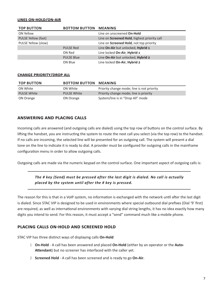#### **Lines On-Hold/On-Air**

| <b>TOP BUTTON</b>   | <b>BOTTOM BUTTON</b> | <b>MEANING</b>                               |
|---------------------|----------------------|----------------------------------------------|
| ON Yellow           |                      | Line on unscreened On-Hold                   |
| PULSE Yellow (fast) |                      | Line on Screened Hold, highest priority call |
| PULSE Yellow (slow) |                      | Line on Screened Hold, not top priority      |
|                     | <b>PULSE Red</b>     | Line On-Air but unlocked, Hybrid 1           |
|                     | ON Red               | Line locked On-Air, Hybrid 1                 |
|                     | <b>PULSE Blue</b>    | Line On-Air but unlocked, Hybrid 2           |
|                     | ON Blue              | Line locked On-Air, Hybrid 2                 |

#### **Change Priority/Drop All**

| <b>TOP BUTTON</b>  | <b>BOTTOM BUTTON</b> | <b>MEANING</b>                             |
|--------------------|----------------------|--------------------------------------------|
| ON White           | ON White             | Priority change mode; line is not priority |
| <b>PULSE White</b> | <b>PULSE White</b>   | Priority change mode; line is priority     |
| ON Orange          | ON Orange            | System/line is in "Drop All" mode          |

### **Answering and Placing calls**

Incoming calls are answered (and outgoing calls are dialed) using the top row of buttons on the control surface. By lifting the handset, you are instructing the system to route the next call you select (via the top row) to the handset. If no calls are incoming, the selected line will be presented for an outgoing call. The system will present a dial tone on the line to indicate it is ready to dial. A provider must be configured for outgoing calls in the mainframe configuration menu in order to allow outgoing calls.

Outgoing calls are made via the numeric keypad on the control surface. One important aspect of outgoing calls is:

## *The # key (Send) must be pressed after the last digit is dialed. No call is actually placed by the system until after the # key is pressed.*

The reason for this is that in a VoIP system, no information is exchanged with the network until after the last digit is dialed. Since STAC VIP is designed to be used in environments where special outbound dial prefixes (Dial '9' first) are required, as well as international environments with varying dial string lengths, it has no idea exactly how many digits you intend to send. For this reason, it must accept a "send" command much like a mobile phone.

#### **Placing calls On-Hold and Screened Hold**

STAC VIP has three distinct ways of displaying calls **On-Hold**

- 1 **On-Hold** A call has been answered and placed **On-Hold** (either by an operator or the **Auto-Attendant**) but no screener has interfaced with the caller yet.
- 2 **Screened Hold** A call has been screened and is ready to go **On-Air**.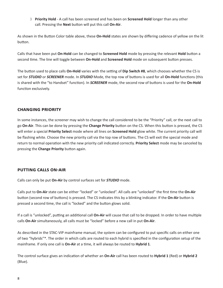3 **Priority Hold** - A call has been screened and has been on **Screened Hold** longer than any other call. Pressing the **Next** button will put this call **On-Air**.

As shown in the Button Color table above, these **On-Hold** states are shown by differing cadence of yellow on the lit button.

Calls that have been put **On-Hold** can be changed to **Screened Hold** mode by pressing the relevant **Hold** button a second time. The line will toggle between **On-Hold** and **Screened Hold** mode on subsequent button presses.

The button used to place calls **On-Hold** varies with the setting of **Dip Switch #8**, which chooses whether the CS is set for *STUDIO* or *SCREENER* mode. In *STUDIO* Mode, the top row of buttons is used for all **On-Hold** functions (this is shared with the "to Handset" function). In *SCREENER* mode, the second row of buttons is used for the **On-Hold** function exclusively.

## **Changing Priority**

In some instances, the screener may wish to change the call considered to be the "Priority" call, or the next call to go **On-Air**. This can be done by pressing the **Change Priority** button on the CS. When this button is pressed, the CS will enter a special **Priority Select** mode where all lines on **Screened Hold** glow white. The current priority call will be flashing white. Choose the new priority call via the top row of buttons. The CS will exit the special mode and return to normal operation with the new priority call indicated correctly. **Priority Select** mode may be canceled by pressing the **Change Priority** button again.

## **Putting calls On-Air**

Calls can only be put **On-Air** by control surfaces set for *STUDIO* mode.

Calls put to **On-Air** state can be either "locked" or "unlocked". All calls are "unlocked" the first time the **On-Air** button (second row of buttons) is pressed. The CS indicates this by a blinking indicator. If the **On-Air** button is pressed a second time, the call is "locked" and the button glows solid.

If a call is "unlocked", putting an additional call **On-Air** will cause that call to be dropped. In order to have multiple calls **On-Air** simultaneously, all calls must be "locked" before a new call in put **On-Air**.

As described in the STAC-VIP mainframe manual, the system can be configured to put specific calls on either one of two "hybrids"\*. The order in which calls are routed to each hybrid is specified in the configuration setup of the mainframe. If only one call is **On-Air** at a time, it will always be routed to **Hybrid 1**.

The control surface gives an indication of whether an **On-Air** call has been routed to **Hybrid 1** (Red) or **Hybrid 2** (Blue).